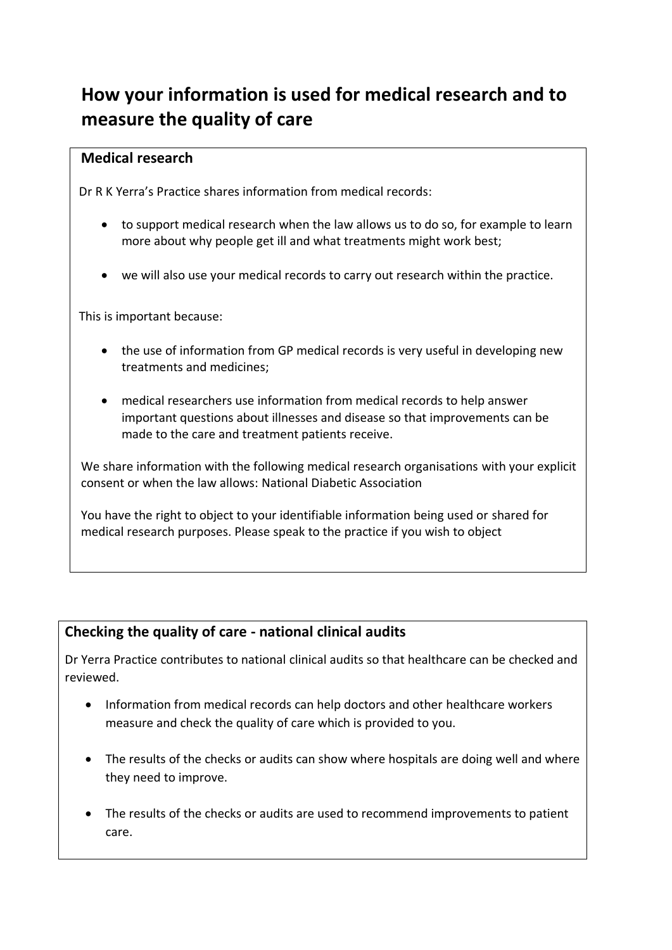## **How your information is used for medical research and to measure the quality of care**

## **Medical research**

Dr R K Yerra's Practice shares information from medical records:

- to support medical research when the law allows us to do so, for example to learn more about why people get ill and what treatments might work best;
- we will also use your medical records to carry out research within the practice.

This is important because:

- the use of information from GP medical records is very useful in developing new treatments and medicines;
- medical researchers use information from medical records to help answer important questions about illnesses and disease so that improvements can be made to the care and treatment patients receive.

We share information with the following medical research organisations with your explicit consent or when the law allows: National Diabetic Association

You have the right to object to your identifiable information being used or shared for medical research purposes. Please speak to the practice if you wish to object

## **Checking the quality of care - national clinical audits**

Dr Yerra Practice contributes to national clinical audits so that healthcare can be checked and reviewed.

- Information from medical records can help doctors and other healthcare workers measure and check the quality of care which is provided to you.
- The results of the checks or audits can show where hospitals are doing well and where they need to improve.
- The results of the checks or audits are used to recommend improvements to patient care.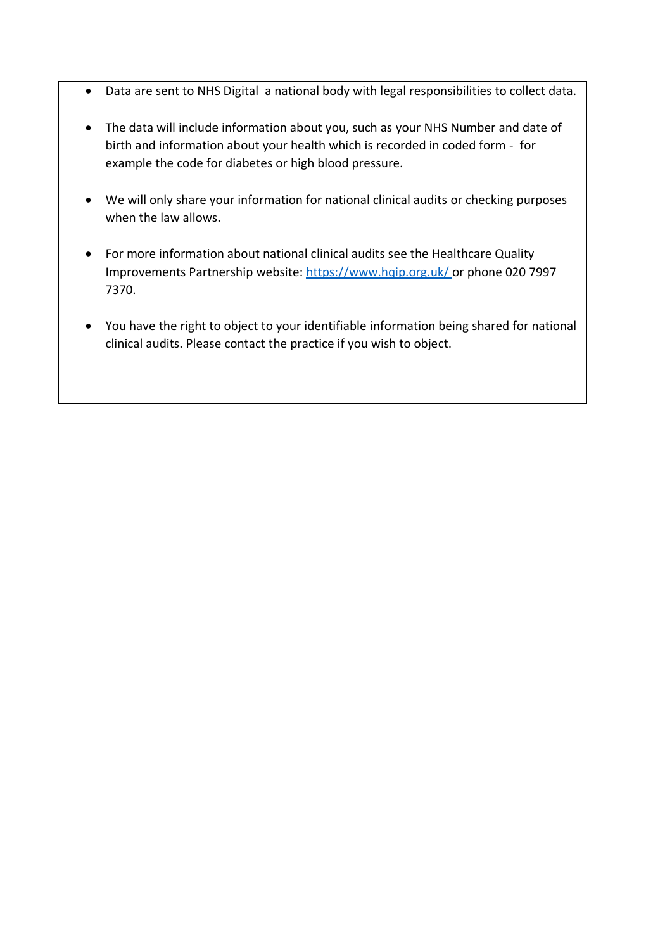- Data are sent to NHS Digital a national body with legal responsibilities to collect data.
- The data will include information about you, such as your NHS Number and date of birth and information about your health which is recorded in coded form - for example the code for diabetes or high blood pressure.
- We will only share your information for national clinical audits or checking purposes when the law allows.
- For more information about national clinical audits see the Healthcare Quality Improvements Partnership website:<https://www.hqip.org.uk/> or phone 020 7997 7370.
- You have the right to object to your identifiable information being shared for national clinical audits. Please contact the practice if you wish to object.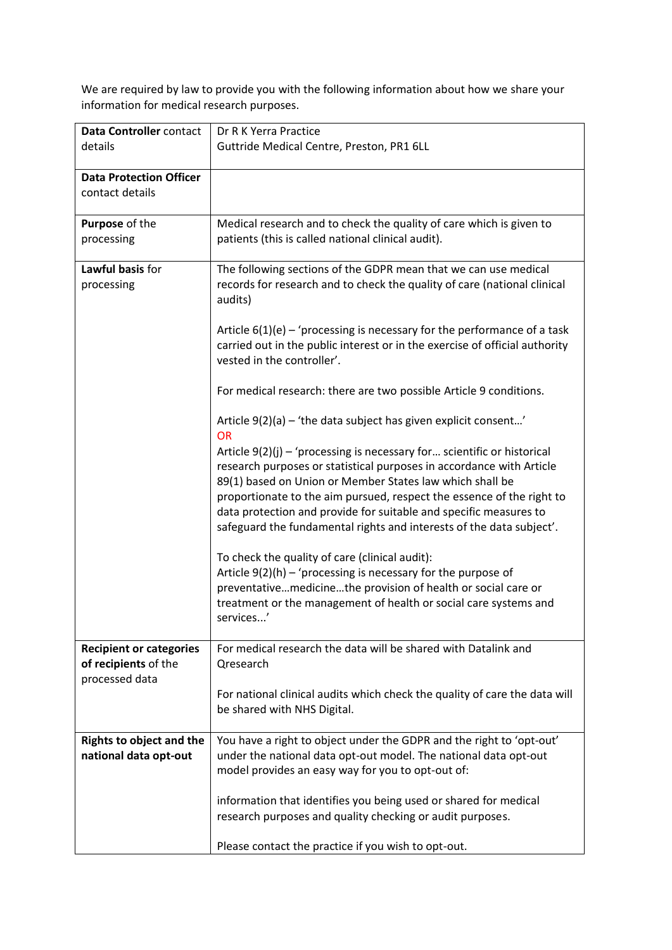We are required by law to provide you with the following information about how we share your information for medical research purposes.

| Data Controller contact<br>details                | Dr R K Yerra Practice<br>Guttride Medical Centre, Preston, PR1 6LL                                                               |
|---------------------------------------------------|----------------------------------------------------------------------------------------------------------------------------------|
|                                                   |                                                                                                                                  |
| <b>Data Protection Officer</b><br>contact details |                                                                                                                                  |
|                                                   |                                                                                                                                  |
| Purpose of the                                    | Medical research and to check the quality of care which is given to                                                              |
| processing                                        | patients (this is called national clinical audit).                                                                               |
| Lawful basis for                                  | The following sections of the GDPR mean that we can use medical                                                                  |
| processing                                        | records for research and to check the quality of care (national clinical<br>audits)                                              |
|                                                   | Article $6(1)(e)$ – 'processing is necessary for the performance of a task                                                       |
|                                                   | carried out in the public interest or in the exercise of official authority<br>vested in the controller'.                        |
|                                                   | For medical research: there are two possible Article 9 conditions.                                                               |
|                                                   | Article 9(2)(a) - 'the data subject has given explicit consent'<br><b>OR</b>                                                     |
|                                                   | Article $9(2)(j)$ – 'processing is necessary for scientific or historical                                                        |
|                                                   | research purposes or statistical purposes in accordance with Article<br>89(1) based on Union or Member States law which shall be |
|                                                   | proportionate to the aim pursued, respect the essence of the right to                                                            |
|                                                   | data protection and provide for suitable and specific measures to                                                                |
|                                                   | safeguard the fundamental rights and interests of the data subject'.                                                             |
|                                                   | To check the quality of care (clinical audit):                                                                                   |
|                                                   | Article $9(2)(h)$ – 'processing is necessary for the purpose of                                                                  |
|                                                   | preventativemedicinethe provision of health or social care or                                                                    |
|                                                   | treatment or the management of health or social care systems and<br>services'                                                    |
|                                                   |                                                                                                                                  |
| <b>Recipient or categories</b>                    | For medical research the data will be shared with Datalink and                                                                   |
| of recipients of the<br>processed data            | Qresearch                                                                                                                        |
|                                                   | For national clinical audits which check the quality of care the data will                                                       |
|                                                   | be shared with NHS Digital.                                                                                                      |
|                                                   |                                                                                                                                  |
| <b>Rights to object and the</b>                   | You have a right to object under the GDPR and the right to 'opt-out'                                                             |
| national data opt-out                             | under the national data opt-out model. The national data opt-out<br>model provides an easy way for you to opt-out of:            |
|                                                   |                                                                                                                                  |
|                                                   | information that identifies you being used or shared for medical                                                                 |
|                                                   | research purposes and quality checking or audit purposes.                                                                        |
|                                                   | Please contact the practice if you wish to opt-out.                                                                              |